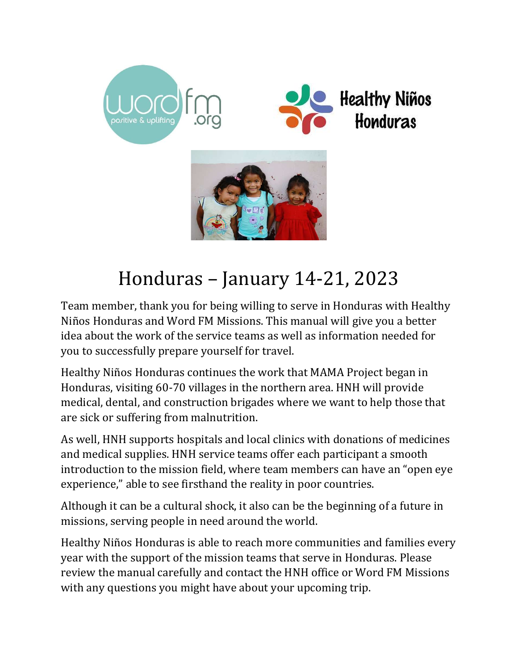





# Honduras – January 14-21, 2023

Team member, thank you for being willing to serve in Honduras with Healthy Niños Honduras and Word FM Missions. This manual will give you a better idea about the work of the service teams as well as information needed for you to successfully prepare yourself for travel.

Healthy Niños Honduras continues the work that MAMA Project began in Honduras, visiting 60-70 villages in the northern area. HNH will provide medical, dental, and construction brigades where we want to help those that are sick or suffering from malnutrition.

As well, HNH supports hospitals and local clinics with donations of medicines and medical supplies. HNH service teams offer each participant a smooth introduction to the mission field, where team members can have an "open eye experience," able to see firsthand the reality in poor countries.

Although it can be a cultural shock, it also can be the beginning of a future in missions, serving people in need around the world.

Healthy Niños Honduras is able to reach more communities and families every year with the support of the mission teams that serve in Honduras. Please review the manual carefully and contact the HNH office or Word FM Missions with any questions you might have about your upcoming trip.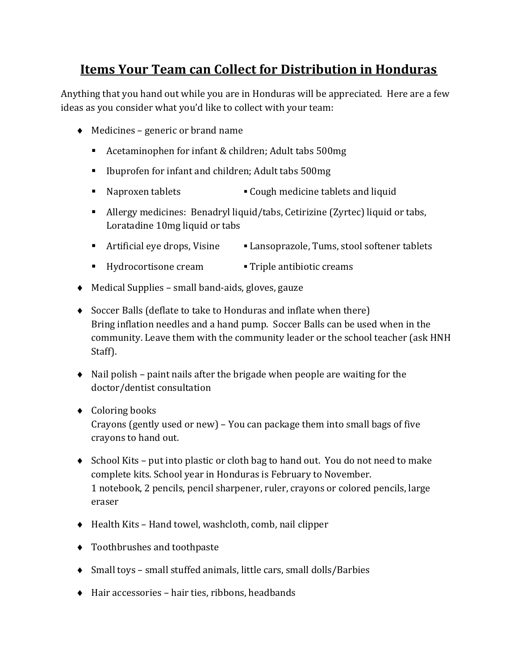# Items Your Team can Collect for Distribution in Honduras

Anything that you hand out while you are in Honduras will be appreciated. Here are a few ideas as you consider what you'd like to collect with your team:

- $\triangleleft$  Medicines generic or brand name
	- Acetaminophen for infant & children; Adult tabs 500mg
	- Ibuprofen for infant and children; Adult tabs 500mg
	- Naproxen tablets Cough medicine tablets and liquid
	- Allergy medicines: Benadryl liquid/tabs, Cetirizine (Zyrtec) liquid or tabs, Loratadine 10mg liquid or tabs
	- Artificial eye drops, Visine Lansoprazole, Tums, stool softener tablets
	- Hydrocortisone cream Triple antibiotic creams
- Medical Supplies small band-aids, gloves, gauze
- Soccer Balls (deflate to take to Honduras and inflate when there) Bring inflation needles and a hand pump. Soccer Balls can be used when in the community. Leave them with the community leader or the school teacher (ask HNH Staff).
- $\bullet$  Nail polish paint nails after the brigade when people are waiting for the doctor/dentist consultation
- ◆ Coloring books

Crayons (gently used or new) – You can package them into small bags of five crayons to hand out.

- $\bullet$  School Kits put into plastic or cloth bag to hand out. You do not need to make complete kits. School year in Honduras is February to November. 1 notebook, 2 pencils, pencil sharpener, ruler, crayons or colored pencils, large eraser
- Health Kits Hand towel, washcloth, comb, nail clipper
- Toothbrushes and toothpaste
- Small toys small stuffed animals, little cars, small dolls/Barbies
- $\bullet$  Hair accessories hair ties, ribbons, headbands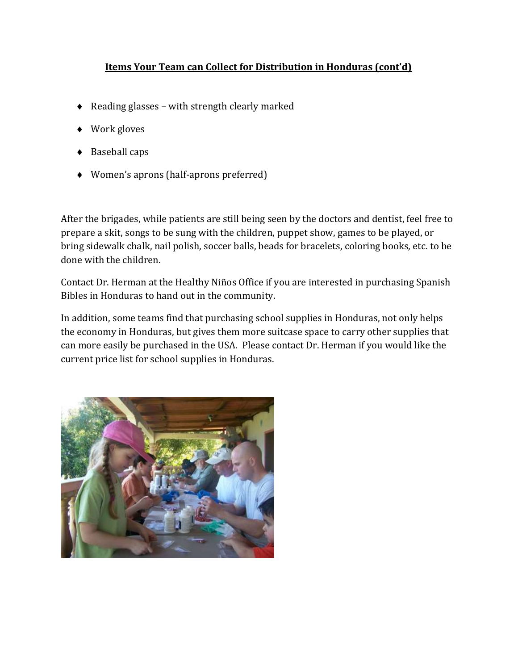## Items Your Team can Collect for Distribution in Honduras (cont'd)

- ◆ Reading glasses with strength clearly marked
- ◆ Work gloves
- ◆ Baseball caps
- Women's aprons (half-aprons preferred)

After the brigades, while patients are still being seen by the doctors and dentist, feel free to prepare a skit, songs to be sung with the children, puppet show, games to be played, or bring sidewalk chalk, nail polish, soccer balls, beads for bracelets, coloring books, etc. to be done with the children.

Contact Dr. Herman at the Healthy Niños Office if you are interested in purchasing Spanish Bibles in Honduras to hand out in the community.

In addition, some teams find that purchasing school supplies in Honduras, not only helps the economy in Honduras, but gives them more suitcase space to carry other supplies that can more easily be purchased in the USA. Please contact Dr. Herman if you would like the current price list for school supplies in Honduras.

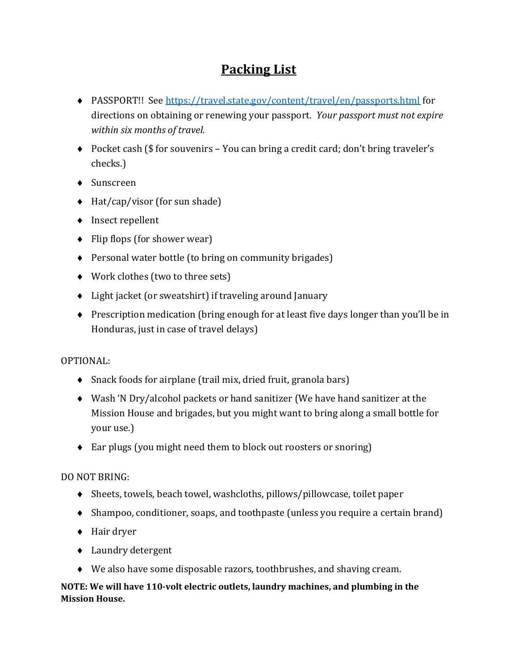# Packing List

- PASSPORT!! See https://travel.state.gov/content/travel/en/passports.html for directions on obtaining or renewing your passport. Your passport must not expire within six months of travel.
- ◆ Pocket cash (\$ for souvenirs You can bring a credit card; don't bring traveler's checks.)
- ◆ Sunscreen
- ◆ Hat/cap/visor (for sun shade)
- ◆ Insect repellent
- $\bullet$  Flip flops (for shower wear)
- Personal water bottle (to bring on community brigades)
- Work clothes (two to three sets)
- Light jacket (or sweatshirt) if traveling around January
- Prescription medication (bring enough for at least five days longer than you'll be in Honduras, just in case of travel delays)

## OPTIONAL:

- Snack foods for airplane (trail mix, dried fruit, granola bars)
- Wash 'N Dry/alcohol packets or hand sanitizer (We have hand sanitizer at the Mission House and brigades, but you might want to bring along a small bottle for your use.)
- Ear plugs (you might need them to block out roosters or snoring)

## DO NOT BRING:

- Sheets, towels, beach towel, washcloths, pillows/pillowcase, toilet paper
- Shampoo, conditioner, soaps, and toothpaste (unless you require a certain brand)
- ◆ Hair dryer
- ◆ Laundry detergent
- We also have some disposable razors, toothbrushes, and shaving cream.

#### NOTE: We will have 110-volt electric outlets, laundry machines, and plumbing in the Mission House.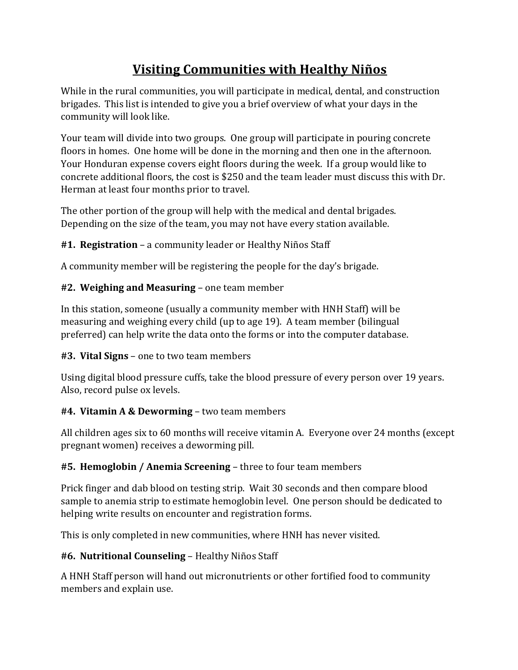# Visiting Communities with Healthy Niños

While in the rural communities, you will participate in medical, dental, and construction brigades. This list is intended to give you a brief overview of what your days in the community will look like.

Your team will divide into two groups. One group will participate in pouring concrete floors in homes. One home will be done in the morning and then one in the afternoon. Your Honduran expense covers eight floors during the week. If a group would like to concrete additional floors, the cost is \$250 and the team leader must discuss this with Dr. Herman at least four months prior to travel.

The other portion of the group will help with the medical and dental brigades. Depending on the size of the team, you may not have every station available.

# #1. Registration – a community leader or Healthy Niños Staff

A community member will be registering the people for the day's brigade.

# #2. Weighing and Measuring – one team member

In this station, someone (usually a community member with HNH Staff) will be measuring and weighing every child (up to age 19). A team member (bilingual preferred) can help write the data onto the forms or into the computer database.

# #3. Vital Signs – one to two team members

Using digital blood pressure cuffs, take the blood pressure of every person over 19 years. Also, record pulse ox levels.

# **#4. Vitamin A & Deworming – two team members**

All children ages six to 60 months will receive vitamin A. Everyone over 24 months (except pregnant women) receives a deworming pill.

# #5. Hemoglobin / Anemia Screening – three to four team members

Prick finger and dab blood on testing strip. Wait 30 seconds and then compare blood sample to anemia strip to estimate hemoglobin level. One person should be dedicated to helping write results on encounter and registration forms.

This is only completed in new communities, where HNH has never visited.

# #6. Nutritional Counseling – Healthy Niños Staff

A HNH Staff person will hand out micronutrients or other fortified food to community members and explain use.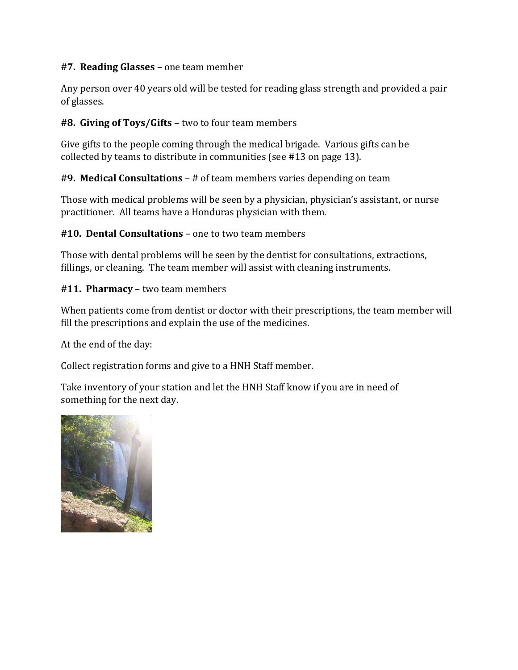#### #7. Reading Glasses – one team member

Any person over 40 years old will be tested for reading glass strength and provided a pair of glasses.

## #8. Giving of Toys/Gifts – two to four team members

Give gifts to the people coming through the medical brigade. Various gifts can be collected by teams to distribute in communities (see #13 on page 13).

## #9. Medical Consultations – # of team members varies depending on team

Those with medical problems will be seen by a physician, physician's assistant, or nurse practitioner. All teams have a Honduras physician with them.

#### #10. Dental Consultations – one to two team members

Those with dental problems will be seen by the dentist for consultations, extractions, fillings, or cleaning. The team member will assist with cleaning instruments.

#### #11. Pharmacy – two team members

When patients come from dentist or doctor with their prescriptions, the team member will fill the prescriptions and explain the use of the medicines.

At the end of the day:

Collect registration forms and give to a HNH Staff member.

Take inventory of your station and let the HNH Staff know if you are in need of something for the next day.

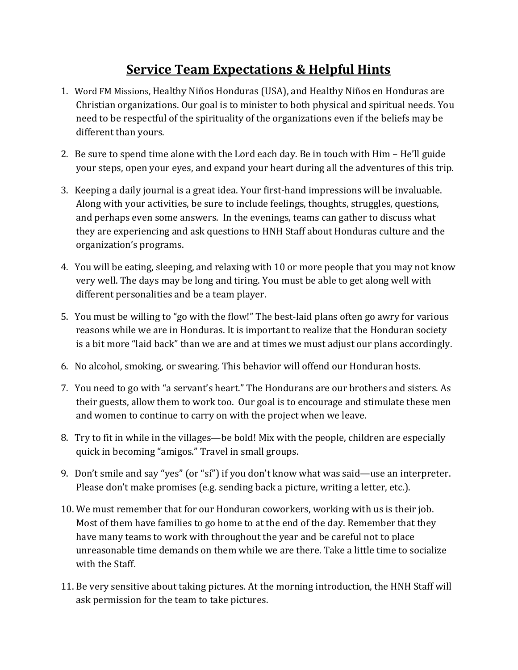# Service Team Expectations & Helpful Hints

- 1. Word FM Missions, Healthy Niños Honduras (USA), and Healthy Niños en Honduras are Christian organizations. Our goal is to minister to both physical and spiritual needs. You need to be respectful of the spirituality of the organizations even if the beliefs may be different than yours.
- 2. Be sure to spend time alone with the Lord each day. Be in touch with Him He'll guide your steps, open your eyes, and expand your heart during all the adventures of this trip.
- 3. Keeping a daily journal is a great idea. Your first-hand impressions will be invaluable. Along with your activities, be sure to include feelings, thoughts, struggles, questions, and perhaps even some answers. In the evenings, teams can gather to discuss what they are experiencing and ask questions to HNH Staff about Honduras culture and the organization's programs.
- 4. You will be eating, sleeping, and relaxing with 10 or more people that you may not know very well. The days may be long and tiring. You must be able to get along well with different personalities and be a team player.
- 5. You must be willing to "go with the flow!" The best-laid plans often go awry for various reasons while we are in Honduras. It is important to realize that the Honduran society is a bit more "laid back" than we are and at times we must adjust our plans accordingly.
- 6. No alcohol, smoking, or swearing. This behavior will offend our Honduran hosts.
- 7. You need to go with "a servant's heart." The Hondurans are our brothers and sisters. As their guests, allow them to work too. Our goal is to encourage and stimulate these men and women to continue to carry on with the project when we leave.
- 8. Try to fit in while in the villages—be bold! Mix with the people, children are especially quick in becoming "amigos." Travel in small groups.
- 9. Don't smile and say "yes" (or "sí") if you don't know what was said—use an interpreter. Please don't make promises (e.g. sending back a picture, writing a letter, etc.).
- 10. We must remember that for our Honduran coworkers, working with us is their job. Most of them have families to go home to at the end of the day. Remember that they have many teams to work with throughout the year and be careful not to place unreasonable time demands on them while we are there. Take a little time to socialize with the Staff.
- 11. Be very sensitive about taking pictures. At the morning introduction, the HNH Staff will ask permission for the team to take pictures.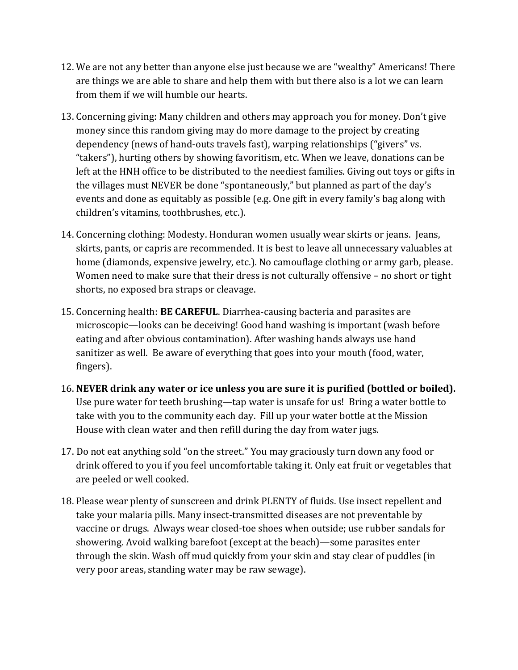- 12. We are not any better than anyone else just because we are "wealthy" Americans! There are things we are able to share and help them with but there also is a lot we can learn from them if we will humble our hearts.
- 13. Concerning giving: Many children and others may approach you for money. Don't give money since this random giving may do more damage to the project by creating dependency (news of hand-outs travels fast), warping relationships ("givers" vs. "takers"), hurting others by showing favoritism, etc. When we leave, donations can be left at the HNH office to be distributed to the neediest families. Giving out toys or gifts in the villages must NEVER be done "spontaneously," but planned as part of the day's events and done as equitably as possible (e.g. One gift in every family's bag along with children's vitamins, toothbrushes, etc.).
- 14. Concerning clothing: Modesty. Honduran women usually wear skirts or jeans. Jeans, skirts, pants, or capris are recommended. It is best to leave all unnecessary valuables at home (diamonds, expensive jewelry, etc.). No camouflage clothing or army garb, please. Women need to make sure that their dress is not culturally offensive – no short or tight shorts, no exposed bra straps or cleavage.
- 15. Concerning health: BE CAREFUL. Diarrhea-causing bacteria and parasites are microscopic—looks can be deceiving! Good hand washing is important (wash before eating and after obvious contamination). After washing hands always use hand sanitizer as well. Be aware of everything that goes into your mouth (food, water, fingers).
- 16. NEVER drink any water or ice unless you are sure it is purified (bottled or boiled). Use pure water for teeth brushing—tap water is unsafe for us! Bring a water bottle to take with you to the community each day. Fill up your water bottle at the Mission House with clean water and then refill during the day from water jugs.
- 17. Do not eat anything sold "on the street." You may graciously turn down any food or drink offered to you if you feel uncomfortable taking it. Only eat fruit or vegetables that are peeled or well cooked.
- 18. Please wear plenty of sunscreen and drink PLENTY of fluids. Use insect repellent and take your malaria pills. Many insect-transmitted diseases are not preventable by vaccine or drugs. Always wear closed-toe shoes when outside; use rubber sandals for showering. Avoid walking barefoot (except at the beach)—some parasites enter through the skin. Wash off mud quickly from your skin and stay clear of puddles (in very poor areas, standing water may be raw sewage).